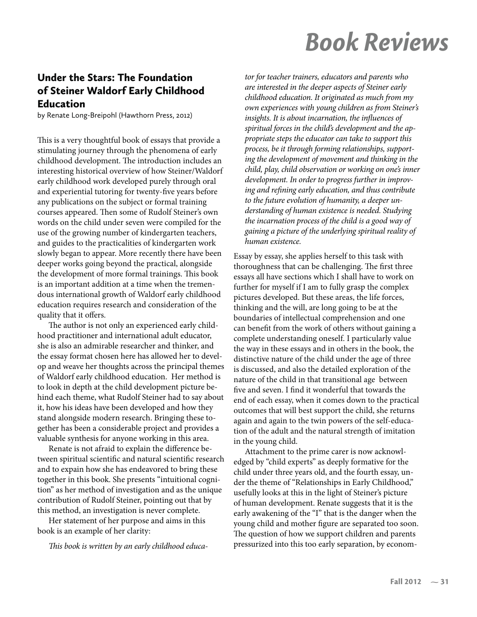## **Book Reviews**

## **Under the Stars: The Foundation** of Steiner Waldorf Early Childhood **Education**

by Renate Long-Breipohl (Hawthorn Press, 2012)

This is a very thoughtful book of essays that provide a stimulating journey through the phenomena of early childhood development. The introduction includes an interesting historical overview of how Steiner/Waldorf early childhood work developed purely through oral and experiential tutoring for twenty-five years before any publications on the subject or formal training courses appeared. Then some of Rudolf Steiner's own words on the child under seven were compiled for the use of the growing number of kindergarten teachers, and guides to the practicalities of kindergarten work slowly began to appear. More recently there have been deeper works going beyond the practical, alongside the development of more formal trainings. This book is an important addition at a time when the tremendous international growth of Waldorf early childhood education requires research and consideration of the quality that it offers.

The author is not only an experienced early childhood practitioner and international adult educator, she is also an admirable researcher and thinker, and the essay format chosen here has allowed her to develop and weave her thoughts across the principal themes of Waldorf early childhood education. Her method is to look in depth at the child development picture behind each theme, what Rudolf Steiner had to say about it, how his ideas have been developed and how they stand alongside modern research. Bringing these together has been a considerable project and provides a valuable synthesis for anyone working in this area.

Renate is not afraid to explain the difference between spiritual scientific and natural scientific research and to expain how she has endeavored to bring these together in this book. She presents "intuitional cognition" as her method of investigation and as the unique contribution of Rudolf Steiner, pointing out that by this method, an investigation is never complete.

Her statement of her purpose and aims in this book is an example of her clarity:

This book is written by an early childhood educa-

tor for teacher trainers, educators and parents who are interested in the deeper aspects of Steiner early childhood education. It originated as much from my own experiences with young children as from Steiner's insights. It is about incarnation, the influences of spiritual forces in the child's development and the appropriate steps the educator can take to support this process, be it through forming relationships, supporting the development of movement and thinking in the child, play, child observation or working on one's inner development. In order to progress further in improving and refining early education, and thus contribute to the future evolution of humanity, a deeper understanding of human existence is needed. Studying the incarnation process of the child is a good way of gaining a picture of the underlying spiritual reality of human existence.

Essay by essay, she applies herself to this task with thoroughness that can be challenging. The first three essays all have sections which I shall have to work on further for myself if I am to fully grasp the complex pictures developed. But these areas, the life forces, thinking and the will, are long going to be at the boundaries of intellectual comprehension and one can benefit from the work of others without gaining a complete understanding oneself. I particularly value the way in these essays and in others in the book, the distinctive nature of the child under the age of three is discussed, and also the detailed exploration of the nature of the child in that transitional age between five and seven. I find it wonderful that towards the end of each essay, when it comes down to the practical outcomes that will best support the child, she returns again and again to the twin powers of the self-education of the adult and the natural strength of imitation in the young child.

Attachment to the prime carer is now acknowledged by "child experts" as deeply formative for the child under three years old, and the fourth essay, under the theme of "Relationships in Early Childhood," usefully looks at this in the light of Steiner's picture of human development. Renate suggests that it is the early awakening of the "I" that is the danger when the young child and mother figure are separated too soon. The question of how we support children and parents pressurized into this too early separation, by econom